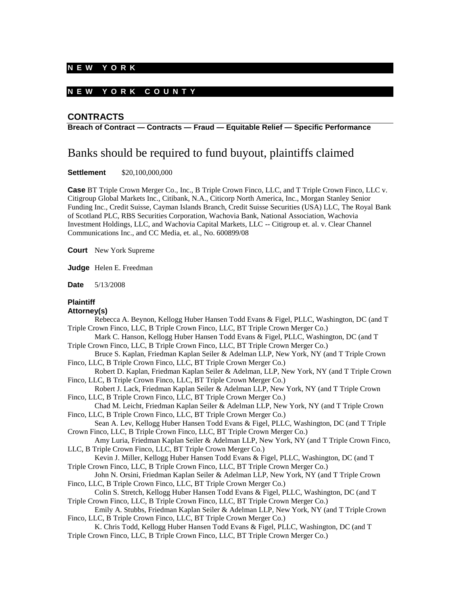## **N E W Y O R K**

# **N E W Y O R K C O U N T Y**

# **CONTRACTS**

**Breach of Contract — Contracts — Fraud — Equitable Relief — Specific Performance** 

# Banks should be required to fund buyout, plaintiffs claimed

**Settlement** \$20,100,000,000

**Case** BT Triple Crown Merger Co., Inc., B Triple Crown Finco, LLC, and T Triple Crown Finco, LLC v. Citigroup Global Markets Inc., Citibank, N.A., Citicorp North America, Inc., Morgan Stanley Senior Funding Inc., Credit Suisse, Cayman Islands Branch, Credit Suisse Securities (USA) LLC, The Royal Bank of Scotland PLC, RBS Securities Corporation, Wachovia Bank, National Association, Wachovia Investment Holdings, LLC, and Wachovia Capital Markets, LLC -- Citigroup et. al. v. Clear Channel Communications Inc., and CC Media, et. al., No. 600899/08

**Court** New York Supreme

**Judge** Helen E. Freedman

**Date** 5/13/2008

# **Plaintiff**

# **Attorney(s)**

| Rebecca A. Beynon, Kellogg Huber Hansen Todd Evans & Figel, PLLC, Washington, DC (and T   |
|-------------------------------------------------------------------------------------------|
| Triple Crown Finco, LLC, B Triple Crown Finco, LLC, BT Triple Crown Merger Co.)           |
| Mark C. Hanson, Kellogg Huber Hansen Todd Evans & Figel, PLLC, Washington, DC (and T      |
| Triple Crown Finco, LLC, B Triple Crown Finco, LLC, BT Triple Crown Merger Co.)           |
| Bruce S. Kaplan, Friedman Kaplan Seiler & Adelman LLP, New York, NY (and T Triple Crown   |
| Finco, LLC, B Triple Crown Finco, LLC, BT Triple Crown Merger Co.)                        |
| Robert D. Kaplan, Friedman Kaplan Seiler & Adelman, LLP, New York, NY (and T Triple Crown |
| Finco, LLC, B Triple Crown Finco, LLC, BT Triple Crown Merger Co.)                        |
| Robert J. Lack, Friedman Kaplan Seiler & Adelman LLP, New York, NY (and T Triple Crown    |
| Finco, LLC, B Triple Crown Finco, LLC, BT Triple Crown Merger Co.)                        |
| Chad M. Leicht, Friedman Kaplan Seiler & Adelman LLP, New York, NY (and T Triple Crown    |
| Finco, LLC, B Triple Crown Finco, LLC, BT Triple Crown Merger Co.)                        |
| Sean A. Lev, Kellogg Huber Hansen Todd Evans & Figel, PLLC, Washington, DC (and T Triple  |
| Crown Finco, LLC, B Triple Crown Finco, LLC, BT Triple Crown Merger Co.)                  |
| Amy Luria, Friedman Kaplan Seiler & Adelman LLP, New York, NY (and T Triple Crown Finco,  |
| LLC, B Triple Crown Finco, LLC, BT Triple Crown Merger Co.)                               |
| Kevin J. Miller, Kellogg Huber Hansen Todd Evans & Figel, PLLC, Washington, DC (and T     |
| Triple Crown Finco, LLC, B Triple Crown Finco, LLC, BT Triple Crown Merger Co.)           |
| John N. Orsini, Friedman Kaplan Seiler & Adelman LLP, New York, NY (and T Triple Crown    |
| Finco, LLC, B Triple Crown Finco, LLC, BT Triple Crown Merger Co.)                        |
| Colin S. Stretch, Kellogg Huber Hansen Todd Evans & Figel, PLLC, Washington, DC (and T    |
| Triple Crown Finco, LLC, B Triple Crown Finco, LLC, BT Triple Crown Merger Co.)           |
| Emily A. Stubbs, Friedman Kaplan Seiler & Adelman LLP, New York, NY (and T Triple Crown   |
| Finco, LLC, B Triple Crown Finco, LLC, BT Triple Crown Merger Co.)                        |
| K. Chris Todd, Kellogg Huber Hansen Todd Evans & Figel, PLLC, Washington, DC (and T       |
| Triple Crown Finco, LLC, B Triple Crown Finco, LLC, BT Triple Crown Merger Co.)           |
|                                                                                           |
|                                                                                           |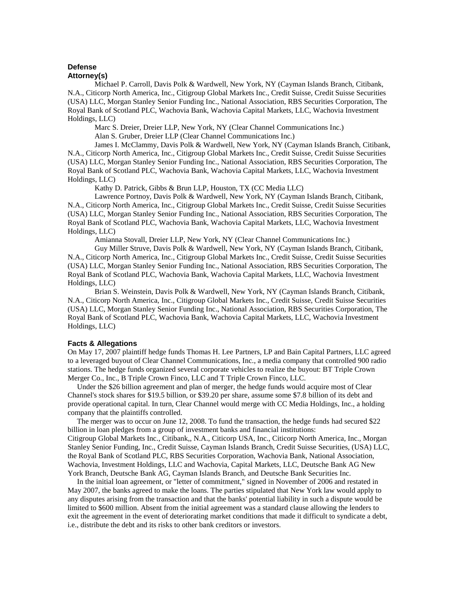#### **Defense Attorney(s)**

Michael P. Carroll, Davis Polk & Wardwell, New York, NY (Cayman Islands Branch, Citibank, N.A., Citicorp North America, Inc., Citigroup Global Markets Inc., Credit Suisse, Credit Suisse Securities (USA) LLC, Morgan Stanley Senior Funding Inc., National Association, RBS Securities Corporation, The Royal Bank of Scotland PLC, Wachovia Bank, Wachovia Capital Markets, LLC, Wachovia Investment Holdings, LLC)

Marc S. Dreier, Dreier LLP, New York, NY (Clear Channel Communications Inc.)

Alan S. Gruber, Dreier LLP (Clear Channel Communications Inc.)

James I. McClammy, Davis Polk & Wardwell, New York, NY (Cayman Islands Branch, Citibank, N.A., Citicorp North America, Inc., Citigroup Global Markets Inc., Credit Suisse, Credit Suisse Securities (USA) LLC, Morgan Stanley Senior Funding Inc., National Association, RBS Securities Corporation, The Royal Bank of Scotland PLC, Wachovia Bank, Wachovia Capital Markets, LLC, Wachovia Investment Holdings, LLC)

Kathy D. Patrick, Gibbs & Brun LLP, Houston, TX (CC Media LLC)

Lawrence Portnoy, Davis Polk & Wardwell, New York, NY (Cayman Islands Branch, Citibank, N.A., Citicorp North America, Inc., Citigroup Global Markets Inc., Credit Suisse, Credit Suisse Securities (USA) LLC, Morgan Stanley Senior Funding Inc., National Association, RBS Securities Corporation, The Royal Bank of Scotland PLC, Wachovia Bank, Wachovia Capital Markets, LLC, Wachovia Investment Holdings, LLC)

Amianna Stovall, Dreier LLP, New York, NY (Clear Channel Communications Inc.)

Guy Miller Struve, Davis Polk & Wardwell, New York, NY (Cayman Islands Branch, Citibank, N.A., Citicorp North America, Inc., Citigroup Global Markets Inc., Credit Suisse, Credit Suisse Securities (USA) LLC, Morgan Stanley Senior Funding Inc., National Association, RBS Securities Corporation, The Royal Bank of Scotland PLC, Wachovia Bank, Wachovia Capital Markets, LLC, Wachovia Investment Holdings, LLC)

Brian S. Weinstein, Davis Polk & Wardwell, New York, NY (Cayman Islands Branch, Citibank, N.A., Citicorp North America, Inc., Citigroup Global Markets Inc., Credit Suisse, Credit Suisse Securities (USA) LLC, Morgan Stanley Senior Funding Inc., National Association, RBS Securities Corporation, The Royal Bank of Scotland PLC, Wachovia Bank, Wachovia Capital Markets, LLC, Wachovia Investment Holdings, LLC)

## **Facts & Allegations**

On May 17, 2007 plaintiff hedge funds Thomas H. Lee Partners, LP and Bain Capital Partners, LLC agreed to a leveraged buyout of Clear Channel Communications, Inc., a media company that controlled 900 radio stations. The hedge funds organized several corporate vehicles to realize the buyout: BT Triple Crown Merger Co., Inc., B Triple Crown Finco, LLC and T Triple Crown Finco, LLC.

 Under the \$26 billion agreement and plan of merger, the hedge funds would acquire most of Clear Channel's stock shares for \$19.5 billion, or \$39.20 per share, assume some \$7.8 billion of its debt and provide operational capital. In turn, Clear Channel would merge with CC Media Holdings, Inc., a holding company that the plaintiffs controlled.

 The merger was to occur on June 12, 2008. To fund the transaction, the hedge funds had secured \$22 billion in loan pledges from a group of investment banks and financial institutions: Citigroup Global Markets Inc., Citibank,, N.A., Citicorp USA, Inc., Citicorp North America, Inc., Morgan Stanley Senior Funding, Inc., Credit Suisse, Cayman Islands Branch, Credit Suisse Securities, (USA) LLC, the Royal Bank of Scotland PLC, RBS Securities Corporation, Wachovia Bank, National Association, Wachovia, Investment Holdings, LLC and Wachovia, Capital Markets, LLC, Deutsche Bank AG New York Branch, Deutsche Bank AG, Cayman Islands Branch, and Deutsche Bank Securities Inc.

 In the initial loan agreement, or "letter of commitment," signed in November of 2006 and restated in May 2007, the banks agreed to make the loans. The parties stipulated that New York law would apply to any disputes arising from the transaction and that the banks' potential liability in such a dispute would be limited to \$600 million. Absent from the initial agreement was a standard clause allowing the lenders to exit the agreement in the event of deteriorating market conditions that made it difficult to syndicate a debt, i.e., distribute the debt and its risks to other bank creditors or investors.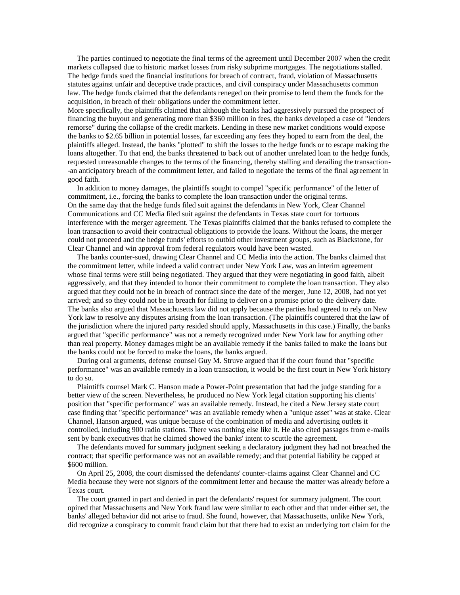The parties continued to negotiate the final terms of the agreement until December 2007 when the credit markets collapsed due to historic market losses from risky subprime mortgages. The negotiations stalled. The hedge funds sued the financial institutions for breach of contract, fraud, violation of Massachusetts statutes against unfair and deceptive trade practices, and civil conspiracy under Massachusetts common law. The hedge funds claimed that the defendants reneged on their promise to lend them the funds for the acquisition, in breach of their obligations under the commitment letter.

More specifically, the plaintiffs claimed that although the banks had aggressively pursued the prospect of financing the buyout and generating more than \$360 million in fees, the banks developed a case of "lenders remorse" during the collapse of the credit markets. Lending in these new market conditions would expose the banks to \$2.65 billion in potential losses, far exceeding any fees they hoped to earn from the deal, the plaintiffs alleged. Instead, the banks "plotted" to shift the losses to the hedge funds or to escape making the loans altogether. To that end, the banks threatened to back out of another unrelated loan to the hedge funds, requested unreasonable changes to the terms of the financing, thereby stalling and derailing the transaction- -an anticipatory breach of the commitment letter, and failed to negotiate the terms of the final agreement in good faith.

 In addition to money damages, the plaintiffs sought to compel "specific performance" of the letter of commitment, i.e., forcing the banks to complete the loan transaction under the original terms. On the same day that the hedge funds filed suit against the defendants in New York, Clear Channel Communications and CC Media filed suit against the defendants in Texas state court for tortuous interference with the merger agreement. The Texas plaintiffs claimed that the banks refused to complete the loan transaction to avoid their contractual obligations to provide the loans. Without the loans, the merger could not proceed and the hedge funds' efforts to outbid other investment groups, such as Blackstone, for Clear Channel and win approval from federal regulators would have been wasted.

 The banks counter-sued, drawing Clear Channel and CC Media into the action. The banks claimed that the commitment letter, while indeed a valid contract under New York Law, was an interim agreement whose final terms were still being negotiated. They argued that they were negotiating in good faith, albeit aggressively, and that they intended to honor their commitment to complete the loan transaction. They also argued that they could not be in breach of contract since the date of the merger, June 12, 2008, had not yet arrived; and so they could not be in breach for failing to deliver on a promise prior to the delivery date. The banks also argued that Massachusetts law did not apply because the parties had agreed to rely on New York law to resolve any disputes arising from the loan transaction. (The plaintiffs countered that the law of the jurisdiction where the injured party resided should apply, Massachusetts in this case.) Finally, the banks argued that "specific performance" was not a remedy recognized under New York law for anything other than real property. Money damages might be an available remedy if the banks failed to make the loans but the banks could not be forced to make the loans, the banks argued.

 During oral arguments, defense counsel Guy M. Struve argued that if the court found that "specific performance" was an available remedy in a loan transaction, it would be the first court in New York history to do so.

 Plaintiffs counsel Mark C. Hanson made a Power-Point presentation that had the judge standing for a better view of the screen. Nevertheless, he produced no New York legal citation supporting his clients' position that "specific performance" was an available remedy. Instead, he cited a New Jersey state court case finding that "specific performance" was an available remedy when a "unique asset" was at stake. Clear Channel, Hanson argued, was unique because of the combination of media and advertising outlets it controlled, including 900 radio stations. There was nothing else like it. He also cited passages from e-mails sent by bank executives that he claimed showed the banks' intent to scuttle the agreement.

 The defendants moved for summary judgment seeking a declaratory judgment they had not breached the contract; that specific performance was not an available remedy; and that potential liability be capped at \$600 million.

 On April 25, 2008, the court dismissed the defendants' counter-claims against Clear Channel and CC Media because they were not signors of the commitment letter and because the matter was already before a Texas court.

 The court granted in part and denied in part the defendants' request for summary judgment. The court opined that Massachusetts and New York fraud law were similar to each other and that under either set, the banks' alleged behavior did not arise to fraud. She found, however, that Massachusetts, unlike New York, did recognize a conspiracy to commit fraud claim but that there had to exist an underlying tort claim for the